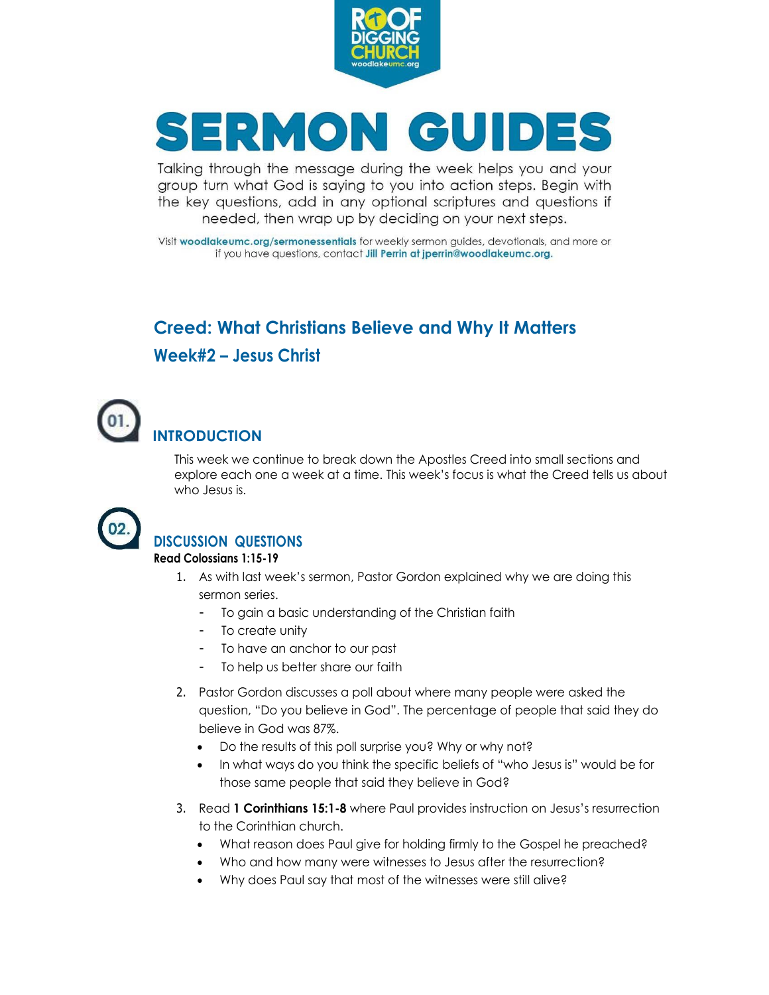

# SERMON GUIDES

Talking through the message during the week helps you and your group turn what God is saying to you into action steps. Begin with the key questions, add in any optional scriptures and questions if needed, then wrap up by deciding on your next steps.

Visit woodlakeumc.org/sermonessentials for weekly sermon guides, devotionals, and more or if you have questions, contact Jill Perrin at jperrin@woodlakeumc.org.

### **Creed: What Christians Believe and Why It Matters Week#2 – Jesus Christ**



#### This week we continue to break down the Apostles Creed into small sections and explore each one a week at a time. This week's focus is what the Creed tells us about who Jesus is.



### **DISCUSSION QUESTIONS**

#### **Read Colossians 1:15-19**

- 1. As with last week's sermon, Pastor Gordon explained why we are doing this sermon series.
	- To gain a basic understanding of the Christian faith
	- To create unity
	- To have an anchor to our past
	- To help us better share our faith
- 2. Pastor Gordon discusses a poll about where many people were asked the question, "Do you believe in God". The percentage of people that said they do believe in God was 87%.
	- Do the results of this poll surprise you? Why or why not?
	- In what ways do you think the specific beliefs of "who Jesus is" would be for those same people that said they believe in God?
- 3. Read **1 Corinthians 15:1-8** where Paul provides instruction on Jesus's resurrection to the Corinthian church.
	- What reason does Paul give for holding firmly to the Gospel he preached?
	- Who and how many were witnesses to Jesus after the resurrection?
	- Why does Paul say that most of the witnesses were still alive?